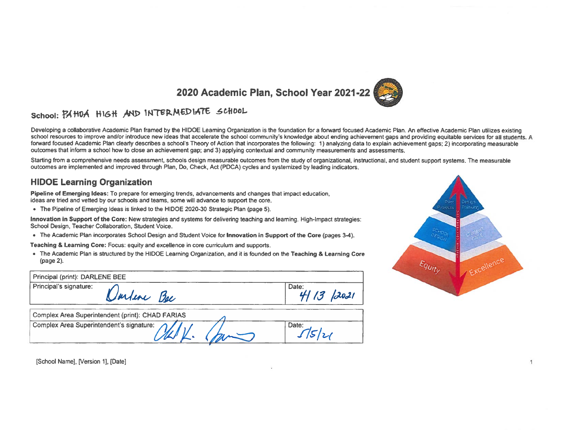

# School: PAHOA HIGH AND INTERMEDIATE SCHOOL

Developing a collaborative Academic Plan framed by the HIDOE Leaming Organization is the foundation for a forward focused Academic Plan, An effective Academic Plan utilizes existing school resources to improve and/or introduce new ideas that accelerate the school community's knowledge about ending achievement gaps and providing equitable services for all students. A forward focused Academic Plan clearly describes a school's Theory of Action that incorporates the following: 1) analyzing data to explain achievement gaps; 2) incorporating measurable outcomes that inform a school how to close an achievement gap; and 3) applying contextual and community measurements and assessments.

Starting from a comprehensive needs assessment, schools design measurable outcomes from the study of organizational, instructional, and student support systems. The measurable outcomes are implemented and improved through Plan, Do, Check, Act (PDCA) cycles and systemized by leading indicators.

### **HIDOE Learning Organization**

Pipeline of Emerging Ideas: To prepare for emerging trends, advancements and changes that impact education, ideas are tried and vetted by our schools and teams, some will advance to support the core.

• The Pipeline of Emerging Ideas is linked to the HIDOE 2020-30 Strategic Plan (page 5).

Innovation in Support of the Core: New strategies and systems for delivering teaching and learning. High-Impact strategies: School Design, Teacher Collaboration, Student Voice.

• The Academic Plan incorporates School Design and Student Voice for Innovation in Support of the Core (pages 3-4).

Teaching & Learning Core: Focus: equity and excellence in core curriculum and supports.

• The Academic Plan is structured by the HIDOE Learning Organization, and it is founded on the Teaching & Learning Core (page 2).

| Principal (print): DARLENE BEE                   |                 |
|--------------------------------------------------|-----------------|
| Principal's signature:<br>Umline Bee             | Date:<br>1/2021 |
| Complex Area Superintendent (print): CHAD FARIAS |                 |
| Complex Area Superintendent's signature:         | Date:           |



 $\mathbf{1}$ 

[School Name], [Version 1], [Date]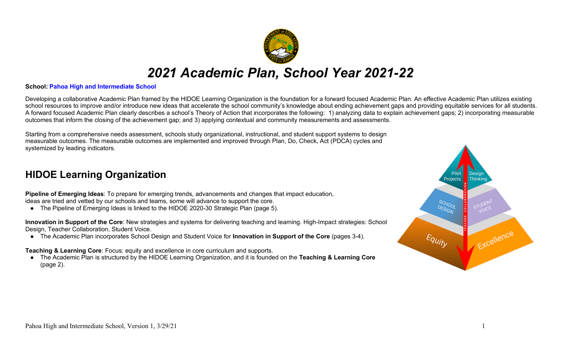

# *2021 Academic Plan, School Year 2021-22*

### **School: Pahoa High and Intermediate School**

Developing a collaborative Academic Plan framed by the HIDOE Learning Organization is the foundation for a forward focused Academic Plan. An effective Academic Plan utilizes existing school resources to improve and/or introduce new ideas that accelerate the school community's knowledge about ending achievement gaps and providing equitable services for all students. A forward focused Academic Plan clearly describes a school's Theory of Action that incorporates the following: 1) analyzing data to explain achievement gaps; 2) incorporating measurable outcomes that inform the closing of the achievement gap; and 3) applying contextual and community measurements and assessments.

Starting from a comprehensive needs assessment, schools study organizational, instructional, and student support systems to design measurable outcomes. The measurable outcomes are implemented and improved through Plan, Do, Check, Act (PDCA) cycles and systemized by leading indicators.

# **HIDOE Learning Organization**

**Pipeline of Emerging Ideas**: To prepare for emerging trends, advancements and changes that impact education, ideas are tried and vetted by our schools and teams, some will advance to support the core.

● The Pipeline of Emerging Ideas is linked to the HIDOE 2020-30 Strategic Plan (page 5).

**Innovation in Support of the Core**: New strategies and systems for delivering teaching and learning. High-Impact strategies: School Design, Teacher Collaboration, Student Voice.

● The Academic Plan incorporates School Design and Student Voice for **Innovation in Support of the Core** (pages 3-4).

**Teaching & Learning Core**: Focus: equity and excellence in core curriculum and supports.

● The Academic Plan is structured by the HIDOE Learning Organization, and it is founded on the **Teaching & Learning Core** (page 2).

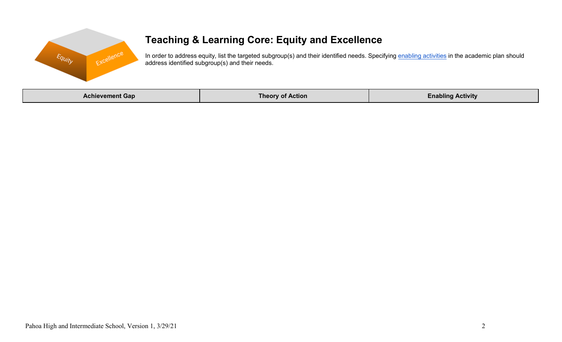

# **Teaching & Learning Core: Equity and Excellence**

In order to address equity, list the targeted subgroup(s) and their identified needs. Specifying enabling activities in the academic plan should address identified subgroup(s) and their needs.

| <b>Achievement Gap</b> | <b>Theory of Action</b> | .<br>Enabling Activity |
|------------------------|-------------------------|------------------------|
|------------------------|-------------------------|------------------------|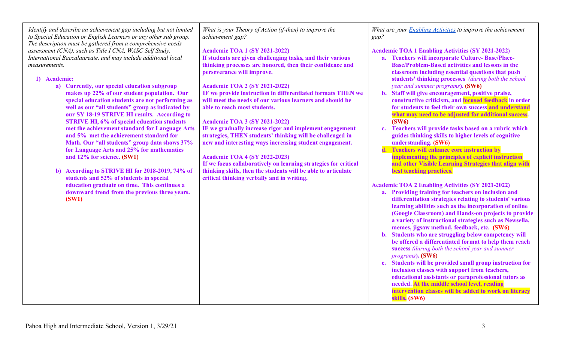| Identify and describe an achievement gap including but not limited<br>to Special Education or English Learners or any other sub group.                                                                                                                                                                                                                                                                                                                                                                                                                                                                                                                                                                                                                         | What is your Theory of Action (if-then) to improve the<br>achievement gap?                                                                                                                                                                                                                                                                                                                                                                                                                                                                                                                                                                                           | What are your <b>Enabling Activities</b> to improve the achievement<br>gap?                                                                                                                                                                                                                                                                                                                                                                                                                                                                                                                                                                                                                                                                                                                                                                                                                                                                                                       |
|----------------------------------------------------------------------------------------------------------------------------------------------------------------------------------------------------------------------------------------------------------------------------------------------------------------------------------------------------------------------------------------------------------------------------------------------------------------------------------------------------------------------------------------------------------------------------------------------------------------------------------------------------------------------------------------------------------------------------------------------------------------|----------------------------------------------------------------------------------------------------------------------------------------------------------------------------------------------------------------------------------------------------------------------------------------------------------------------------------------------------------------------------------------------------------------------------------------------------------------------------------------------------------------------------------------------------------------------------------------------------------------------------------------------------------------------|-----------------------------------------------------------------------------------------------------------------------------------------------------------------------------------------------------------------------------------------------------------------------------------------------------------------------------------------------------------------------------------------------------------------------------------------------------------------------------------------------------------------------------------------------------------------------------------------------------------------------------------------------------------------------------------------------------------------------------------------------------------------------------------------------------------------------------------------------------------------------------------------------------------------------------------------------------------------------------------|
| The description must be gathered from a comprehensive needs<br>assessment (CNA), such as Title I CNA, WASC Self Study,<br>International Baccalaureate, and may include additional local<br>measurements.<br>1) Academic:<br>a) Currently, our special education subgroup<br>makes up 22% of our student population. Our<br>special education students are not performing as<br>well as our "all students" group as indicated by<br>our SY 18-19 STRIVE HI results. According to<br><b>STRIVE HI, 6% of special education students</b><br>met the achievement standard for Language Arts<br>and 5% met the achievement standard for<br>Math. Our "all students" group data shows 37%<br>for Language Arts and 25% for mathematics<br>and 12% for science. (SW1) | <b>Academic TOA 1 (SY 2021-2022)</b><br>If students are given challenging tasks, and their various<br>thinking processes are honored, then their confidence and<br>perseverance will improve.<br><b>Academic TOA 2 (SY 2021-2022)</b><br>IF we provide instruction in differentiated formats THEN we<br>will meet the needs of our various learners and should be<br>able to reach most students.<br><b>Academic TOA 3 (SY 2021-2022)</b><br>IF we gradually increase rigor and implement engagement<br>strategies, THEN students' thinking will be challenged in<br>new and interesting ways increasing student engagement.<br><b>Academic TOA 4 (SY 2022-2023)</b> | <b>Academic TOA 1 Enabling Activities (SY 2021-2022)</b><br>a. Teachers will incorporate Culture-Base/Place-<br><b>Base/Problem-Based activities and lessons in the</b><br>classroom including essential questions that push<br>students' thinking processes (during both the school<br>year and summer programs). (SW6)<br>b. Staff will give encouragement, positive praise,<br>constructive criticism, and focused feedback in order<br>for students to feel their own success and understand<br>what may need to be adjusted for additional success.<br>(SW6)<br>Teachers will provide tasks based on a rubric which<br>$c_{\bullet}$<br>guides thinking skills to higher levels of cognitive<br>understanding. (SW6)<br>Teachers will enhance core instruction by<br>implementing the principles of explicit instruction                                                                                                                                                     |
| b) According to STRIVE HI for 2018-2019, 74% of<br>students and 52% of students in special<br>education graduate on time. This continues a<br>downward trend from the previous three years.<br>(SW1)                                                                                                                                                                                                                                                                                                                                                                                                                                                                                                                                                           | If we focus collaboratively on learning strategies for critical<br>thinking skills, then the students will be able to articulate<br>critical thinking verbally and in writing.                                                                                                                                                                                                                                                                                                                                                                                                                                                                                       | and other Visible Learning Strategies that align with<br>best teaching practices.<br><b>Academic TOA 2 Enabling Activities (SY 2021-2022)</b><br>a. Providing training for teachers on inclusion and<br>differentiation strategies relating to students' various<br>learning abilities such as the incorporation of online<br>(Google Classroom) and Hands-on projects to provide<br>a variety of instructional strategies such as Newsella,<br>memes, jigsaw method, feedback, etc. (SW6)<br>b. Students who are struggling below competency will<br>be offered a differentiated format to help them reach<br>success (during both the school year and summer<br>programs). (SW6)<br>c. Students will be provided small group instruction for<br>inclusion classes with support from teachers,<br>educational assistants or paraprofessional tutors as<br>needed. At the middle school level, reading<br>intervention classes will be added to work on literacy<br>skills. (SW6) |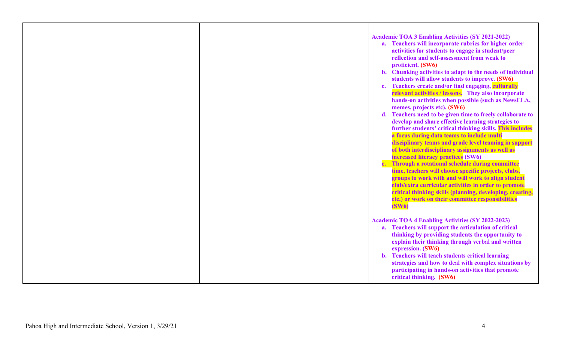|  | <b>Academic TOA 3 Enabling Activities (SY 2021-2022)</b><br>a. Teachers will incorporate rubrics for higher order<br>activities for students to engage in student/peer<br>reflection and self-assessment from weak to<br>proficient. (SW6)<br>b. Chunking activities to adapt to the needs of individual<br>students will allow students to improve. (SW6)<br>Teachers create and/or find engaging, culturally<br>$c_{\cdot}$<br>relevant activities / lessons. They also incorporate<br>hands-on activities when possible (such as NewsELA,<br>memes, projects etc). (SW6)<br>d. Teachers need to be given time to freely collaborate to<br>develop and share effective learning strategies to<br>further students' critical thinking skills. This includes<br>a focus during data teams to include multi<br>disciplinary teams and grade level teaming in support<br>of both interdisciplinary assignments as well as<br>increased literacy practices (SW6)<br>e. Through a rotational schedule during committee<br>time, teachers will choose specific projects, clubs,<br>groups to work with and will work to align student<br>club/extra curricular activities in order to promote<br>critical thinking skills (planning, developing, creating,<br>etc.) or work on their committee responsibilities<br>(SW6) |
|--|---------------------------------------------------------------------------------------------------------------------------------------------------------------------------------------------------------------------------------------------------------------------------------------------------------------------------------------------------------------------------------------------------------------------------------------------------------------------------------------------------------------------------------------------------------------------------------------------------------------------------------------------------------------------------------------------------------------------------------------------------------------------------------------------------------------------------------------------------------------------------------------------------------------------------------------------------------------------------------------------------------------------------------------------------------------------------------------------------------------------------------------------------------------------------------------------------------------------------------------------------------------------------------------------------------------------|
|  | <b>Academic TOA 4 Enabling Activities (SY 2022-2023)</b><br>a. Teachers will support the articulation of critical<br>thinking by providing students the opportunity to<br>explain their thinking through verbal and written<br>expression. (SW6)<br>b. Teachers will teach students critical learning<br>strategies and how to deal with complex situations by<br>participating in hands-on activities that promote<br>critical thinking. (SW6)                                                                                                                                                                                                                                                                                                                                                                                                                                                                                                                                                                                                                                                                                                                                                                                                                                                                     |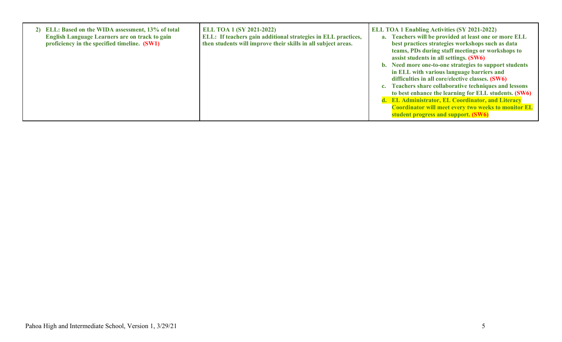| 2) ELL: Based on the WIDA assessment, 13% of total<br><b>English Language Learners are on track to gain</b><br>proficiency in the specified timeline. (SW1) | <b>ELL TOA 1 (SY 2021-2022)</b><br>ELL: If teachers gain additional strategies in ELL practices,<br>then students will improve their skills in all subject areas. | <b>ELL TOA 1 Enabling Activities (SY 2021-2022)</b><br>a. Teachers will be provided at least one or more ELL<br>best practices strategies workshops such as data<br>teams, PDs during staff meetings or workshops to<br>assist students in all settings. (SW6)<br>b. Need more one-to-one strategies to support students<br>in ELL with various language barriers and<br>difficulties in all core/elective classes. (SW6)<br>c. Teachers share collaborative techniques and lessons<br>to best enhance the learning for ELL students. (SW6)<br>d. EL Administrator, EL Coordinator, and Literacy<br><b>Coordinator will meet every two weeks to monitor EL</b><br>student progress and support. (SW6) |
|-------------------------------------------------------------------------------------------------------------------------------------------------------------|-------------------------------------------------------------------------------------------------------------------------------------------------------------------|-------------------------------------------------------------------------------------------------------------------------------------------------------------------------------------------------------------------------------------------------------------------------------------------------------------------------------------------------------------------------------------------------------------------------------------------------------------------------------------------------------------------------------------------------------------------------------------------------------------------------------------------------------------------------------------------------------|
|-------------------------------------------------------------------------------------------------------------------------------------------------------------|-------------------------------------------------------------------------------------------------------------------------------------------------------------------|-------------------------------------------------------------------------------------------------------------------------------------------------------------------------------------------------------------------------------------------------------------------------------------------------------------------------------------------------------------------------------------------------------------------------------------------------------------------------------------------------------------------------------------------------------------------------------------------------------------------------------------------------------------------------------------------------------|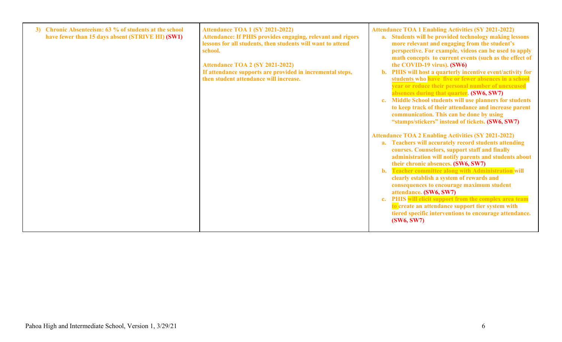| Chronic Absenteeism: 63 % of students at the school<br><b>3</b> )<br>have fewer than 15 days absent (STRIVE HI) (SW1) | Attendance TOA 1 (SY 2021-2022)<br>Attendance: If PHIS provides engaging, relevant and rigors<br>lessons for all students, then students will want to attend<br>school.<br>Attendance TOA 2 (SY 2021-2022)<br>If attendance supports are provided in incremental steps,<br>then student attendance will increase. | <b>Attendance TOA 1 Enabling Activities (SY 2021-2022)</b><br>a. Students will be provided technology making lessons<br>more relevant and engaging from the student's<br>perspective. For example, videos can be used to apply<br>math concepts to current events (such as the effect of<br>the COVID-19 virus). (SW6)<br>b. PHIS will host a quarterly incentive event/activity for<br>students who have five or fewer absences in a school<br>year or reduce their personal number of unexcused<br>absences during that quarter. (SW6, SW7)<br>c. Middle School students will use planners for students<br>to keep track of their attendance and increase parent<br>communication. This can be done by using<br>"stamps/stickers" instead of tickets. (SW6, SW7)<br><b>Attendance TOA 2 Enabling Activities (SY 2021-2022)</b><br>a. Teachers will accurately record students attending<br>courses. Counselors, support staff and finally<br>administration will notify parents and students about<br>their chronic absences. (SW6, SW7)<br>b. Teacher committee along with Administration will<br>clearly establish a system of rewards and<br>consequences to encourage maximum student |
|-----------------------------------------------------------------------------------------------------------------------|-------------------------------------------------------------------------------------------------------------------------------------------------------------------------------------------------------------------------------------------------------------------------------------------------------------------|---------------------------------------------------------------------------------------------------------------------------------------------------------------------------------------------------------------------------------------------------------------------------------------------------------------------------------------------------------------------------------------------------------------------------------------------------------------------------------------------------------------------------------------------------------------------------------------------------------------------------------------------------------------------------------------------------------------------------------------------------------------------------------------------------------------------------------------------------------------------------------------------------------------------------------------------------------------------------------------------------------------------------------------------------------------------------------------------------------------------------------------------------------------------------------------------|
|                                                                                                                       |                                                                                                                                                                                                                                                                                                                   | attendance. (SW6, SW7)<br>c. PHIS will elicit support from the complex area team<br>to create an attendance support tier system with<br>tiered specific interventions to encourage attendance.<br>(SW6, SW7)                                                                                                                                                                                                                                                                                                                                                                                                                                                                                                                                                                                                                                                                                                                                                                                                                                                                                                                                                                                |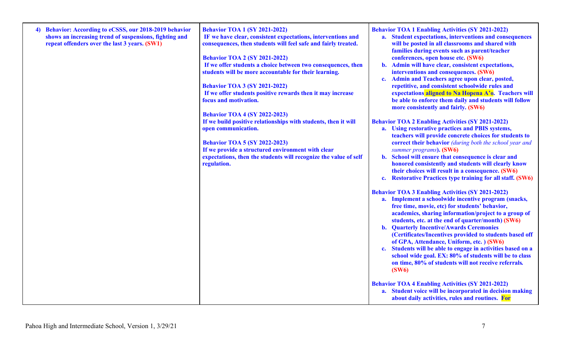| <b>Behavior: According to eCSSS, our 2018-2019 behavior</b><br>shows an increasing trend of suspensions, fighting and<br>repeat offenders over the last 3 years. (SW1) | <b>Behavior TOA 1 (SY 2021-2022)</b><br>IF we have clear, consistent expectations, interventions and<br>consequences, then students will feel safe and fairly treated.<br><b>Behavior TOA 2 (SY 2021-2022)</b><br>If we offer students a choice between two consequences, then<br>students will be more accountable for their learning.<br><b>Behavior TOA 3 (SY 2021-2022)</b><br>If we offer students positive rewards then it may increase<br>focus and motivation.<br><b>Behavior TOA 4 (SY 2022-2023)</b> | <b>Behavior TOA 1 Enabling Activities (SY 2021-2022)</b><br>a. Student expectations, interventions and consequences<br>will be posted in all classrooms and shared with<br>families during events such as parent/teacher<br>conferences, open house etc. (SW6)<br>b. Admin will have clear, consistent expectations,<br>interventions and consequences. (SW6)<br><b>Admin and Teachers agree upon clear, posted,</b><br>$c_{\cdot}$<br>repetitive, and consistent schoolwide rules and<br>expectations aligned to Na Hopena A'o. Teachers will<br>be able to enforce them daily and students will follow<br>more consistently and fairly. (SW6) |
|------------------------------------------------------------------------------------------------------------------------------------------------------------------------|----------------------------------------------------------------------------------------------------------------------------------------------------------------------------------------------------------------------------------------------------------------------------------------------------------------------------------------------------------------------------------------------------------------------------------------------------------------------------------------------------------------|-------------------------------------------------------------------------------------------------------------------------------------------------------------------------------------------------------------------------------------------------------------------------------------------------------------------------------------------------------------------------------------------------------------------------------------------------------------------------------------------------------------------------------------------------------------------------------------------------------------------------------------------------|
|                                                                                                                                                                        | If we build positive relationships with students, then it will<br>open communication.<br><b>Behavior TOA 5 (SY 2022-2023)</b><br>If we provide a structured environment with clear<br>expectations, then the students will recognize the value of self<br>regulation.                                                                                                                                                                                                                                          | <b>Behavior TOA 2 Enabling Activities (SY 2021-2022)</b><br>a. Using restorative practices and PBIS systems,<br>teachers will provide concrete choices for students to<br>correct their behavior (during both the school year and<br>summer programs). (SW6)<br>b. School will ensure that consequence is clear and<br>honored consistently and students will clearly know<br>their choices will result in a consequence. (SW6)<br><b>Restorative Practices type training for all staff. (SW6)</b><br>$c_{\bullet}$                                                                                                                             |
|                                                                                                                                                                        |                                                                                                                                                                                                                                                                                                                                                                                                                                                                                                                | <b>Behavior TOA 3 Enabling Activities (SY 2021-2022)</b><br>a. Implement a schoolwide incentive program (snacks,<br>free time, movie, etc) for students' behavior,<br>academics, sharing information/project to a group of<br>students, etc. at the end of quarter/month) (SW6)<br><b>b.</b> Quarterly Incentive/Awards Ceremonies<br>(Certificates/Incentives provided to students based off<br>of GPA, Attendance, Uniform, etc. ) (SW6)<br>c. Students will be able to engage in activities based on a<br>school wide goal. EX: 80% of students will be to class<br>on time, 80% of students will not receive referrals.<br>(SW6)            |
|                                                                                                                                                                        |                                                                                                                                                                                                                                                                                                                                                                                                                                                                                                                | <b>Behavior TOA 4 Enabling Activities (SY 2021-2022)</b><br>a. Student voice will be incorporated in decision making<br>about daily activities, rules and routines. For                                                                                                                                                                                                                                                                                                                                                                                                                                                                         |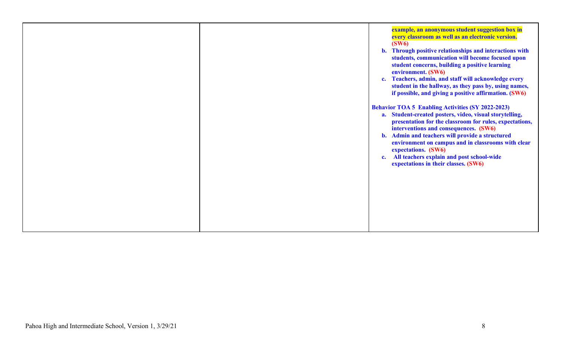|  | example, an anonymous student suggestion box in<br>every classroom as well as an electronic version.<br>(SW6)<br>b. Through positive relationships and interactions with<br>students, communication will become focused upon<br>student concerns, building a positive learning<br>environment. (SW6)<br>Teachers, admin, and staff will acknowledge every<br>$c_{\bullet}$<br>student in the hallway, as they pass by, using names,<br>if possible, and giving a positive affirmation. (SW6) |
|--|----------------------------------------------------------------------------------------------------------------------------------------------------------------------------------------------------------------------------------------------------------------------------------------------------------------------------------------------------------------------------------------------------------------------------------------------------------------------------------------------|
|  | <b>Behavior TOA 5 Enabling Activities (SY 2022-2023)</b><br>a. Student-created posters, video, visual storytelling,<br>presentation for the classroom for rules, expectations,<br>interventions and consequences. (SW6)<br>Admin and teachers will provide a structured<br>$\mathbf{b}$ .<br>environment on campus and in classrooms with clear<br>expectations. (SW6)<br>All teachers explain and post school-wide<br>$c_{\bullet}$<br>expectations in their classes. (SW6)                 |
|  |                                                                                                                                                                                                                                                                                                                                                                                                                                                                                              |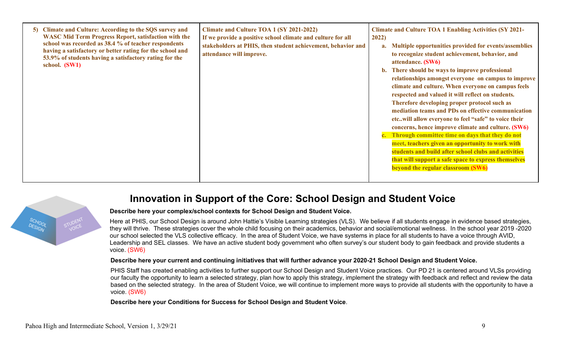| Climate and Culture: According to the SQS survey and<br>$\vert 5 \rangle$<br><b>WASC Mid Term Progress Report, satisfaction with the</b><br>school was recorded as 38.4 % of teacher respondents<br>having a satisfactory or better rating for the school and<br>53.9% of students having a satisfactory rating for the<br>school. (SW1) | Climate and Culture TOA 1 (SY 2021-2022)<br>If we provide a positive school climate and culture for all<br>stakeholders at PHIS, then student achievement, behavior and<br>attendance will improve. | <b>Climate and Culture TOA 1 Enabling Activities (SY 2021-</b><br>2022)<br>Multiple opportunities provided for events/assemblies<br>a.<br>to recognize student achievement, behavior, and<br>attendance. (SW6)<br>b. There should be ways to improve professional<br>relationships amongst everyone on campus to improve<br>climate and culture. When everyone on campus feels<br>respected and valued it will reflect on students.<br>Therefore developing proper protocol such as<br>mediation teams and PDs on effective communication<br>etcwill allow everyone to feel "safe" to voice their<br>concerns, hence improve climate and culture. (SW6)<br>c. Through committee time on days that they do not<br>meet, teachers given an opportunity to work with<br>students and build after school clubs and activities<br>that will support a safe space to express themselves<br>beyond the regular classroom (SW6) |
|------------------------------------------------------------------------------------------------------------------------------------------------------------------------------------------------------------------------------------------------------------------------------------------------------------------------------------------|-----------------------------------------------------------------------------------------------------------------------------------------------------------------------------------------------------|-------------------------------------------------------------------------------------------------------------------------------------------------------------------------------------------------------------------------------------------------------------------------------------------------------------------------------------------------------------------------------------------------------------------------------------------------------------------------------------------------------------------------------------------------------------------------------------------------------------------------------------------------------------------------------------------------------------------------------------------------------------------------------------------------------------------------------------------------------------------------------------------------------------------------|
|------------------------------------------------------------------------------------------------------------------------------------------------------------------------------------------------------------------------------------------------------------------------------------------------------------------------------------------|-----------------------------------------------------------------------------------------------------------------------------------------------------------------------------------------------------|-------------------------------------------------------------------------------------------------------------------------------------------------------------------------------------------------------------------------------------------------------------------------------------------------------------------------------------------------------------------------------------------------------------------------------------------------------------------------------------------------------------------------------------------------------------------------------------------------------------------------------------------------------------------------------------------------------------------------------------------------------------------------------------------------------------------------------------------------------------------------------------------------------------------------|

### **Innovation in Support of the Core: School Design and Student Voice**

#### **Describe here your complex/school contexts for School Design and Student Voice.**

Here at PHIS, our School Design is around John Hattie's Visible Learning strategies (VLS). We believe if all students engage in evidence based strategies, they will thrive. These strategies cover the whole child focusing on their academics, behavior and social/emotional wellness. In the school year 2019-2020 our school selected the VLS collective efficacy. In the area of Student Voice, we have systems in place for all students to have a voice through AVID, Leadership and SEL classes. We have an active student body government who often survey's our student body to gain feedback and provide students a voice. (SW6)

#### **Describe here your current and continuing initiatives that will further advance your 2020-21 School Design and Student Voice.**

PHIS Staff has created enabling activities to further support our School Design and Student Voice practices. Our PD 21 is centered around VLSs providing our faculty the opportunity to learn a selected strategy, plan how to apply this strategy, implement the strategy with feedback and reflect and review the data based on the selected strategy. In the area of Student Voice, we will continue to implement more ways to provide all students with the opportunity to have a voice. (SW6)

**Describe here your Conditions for Success for School Design and Student Voice**.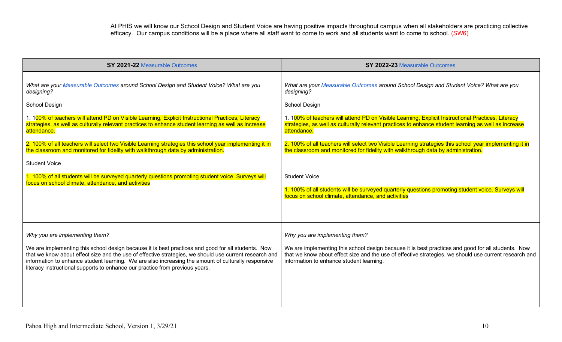At PHIS we will know our School Design and Student Voice are having positive impacts throughout campus when all stakeholders are practicing collective efficacy. Our campus conditions will be a place where all staff want to come to work and all students want to come to school. (SW6)

| SY 2021-22 Measurable Outcomes                                                                                                                                                                                                                                                                                                                                                                      | SY 2022-23 Measurable Outcomes                                                                                                                                                                                                                           |
|-----------------------------------------------------------------------------------------------------------------------------------------------------------------------------------------------------------------------------------------------------------------------------------------------------------------------------------------------------------------------------------------------------|----------------------------------------------------------------------------------------------------------------------------------------------------------------------------------------------------------------------------------------------------------|
| What are your Measurable Outcomes around School Design and Student Voice? What are you<br>designing?                                                                                                                                                                                                                                                                                                | What are your Measurable Outcomes around School Design and Student Voice? What are you<br>designing?                                                                                                                                                     |
| School Design                                                                                                                                                                                                                                                                                                                                                                                       | <b>School Design</b>                                                                                                                                                                                                                                     |
| 1. 100% of teachers will attend PD on Visible Learning, Explicit Instructional Practices, Literacy<br>strategies, as well as culturally relevant practices to enhance student learning as well as increase<br>attendance.                                                                                                                                                                           | 1. 100% of teachers will attend PD on Visible Learning, Explicit Instructional Practices, Literacy<br>strategies, as well as culturally relevant practices to enhance student learning as well as increase<br>attendance.                                |
| 2. 100% of all teachers will select two Visible Learning strategies this school year implementing it in<br>the classroom and monitored for fidelity with walkthrough data by administration.                                                                                                                                                                                                        | 2. 100% of all teachers will select two Visible Learning strategies this school year implementing it in<br>the classroom and monitored for fidelity with walkthrough data by administration.                                                             |
| <b>Student Voice</b>                                                                                                                                                                                                                                                                                                                                                                                |                                                                                                                                                                                                                                                          |
| 1. 100% of all students will be surveyed quarterly questions promoting student voice. Surveys will<br>focus on school climate, attendance, and activities                                                                                                                                                                                                                                           | <b>Student Voice</b>                                                                                                                                                                                                                                     |
|                                                                                                                                                                                                                                                                                                                                                                                                     | 1. 100% of all students will be surveyed quarterly questions promoting student voice. Surveys will<br>focus on school climate, attendance, and activities                                                                                                |
|                                                                                                                                                                                                                                                                                                                                                                                                     |                                                                                                                                                                                                                                                          |
| Why you are implementing them?                                                                                                                                                                                                                                                                                                                                                                      | Why you are implementing them?                                                                                                                                                                                                                           |
| We are implementing this school design because it is best practices and good for all students. Now<br>that we know about effect size and the use of effective strategies, we should use current research and<br>information to enhance student learning. We are also increasing the amount of culturally responsive<br>literacy instructional supports to enhance our practice from previous years. | We are implementing this school design because it is best practices and good for all students. Now<br>that we know about effect size and the use of effective strategies, we should use current research and<br>information to enhance student learning. |
|                                                                                                                                                                                                                                                                                                                                                                                                     |                                                                                                                                                                                                                                                          |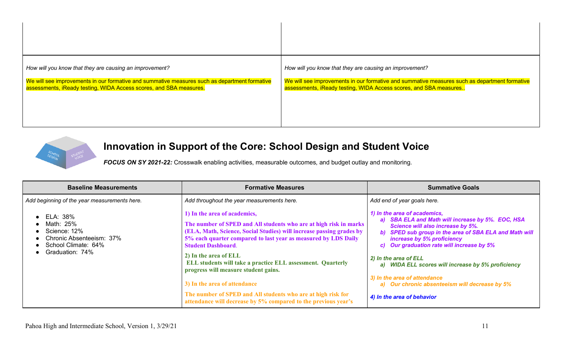| How will you know that they are causing an improvement?                                       | How will you know that they are causing an improvement?                                       |
|-----------------------------------------------------------------------------------------------|-----------------------------------------------------------------------------------------------|
| We will see improvements in our formative and summative measures such as department formative | We will see improvements in our formative and summative measures such as department formative |
| assessments, iReady testing, WIDA Access scores, and SBA measures.                            | assessments, iReady testing, WIDA Access scores, and SBA measures                             |



# **Innovation in Support of the Core: School Design and Student Voice**

*FOCUS ON SY 2021-22:* Crosswalk enabling activities, measurable outcomes, and budget outlay and monitoring.

| <b>Baseline Measurements</b>                                                                                | <b>Formative Measures</b>                                                                                                                                                                                                                                                                                                                                                                                                                                                                                                                                                  | <b>Summative Goals</b>                                                                                                                                                                                                                                                                                                                                                                                                                                      |
|-------------------------------------------------------------------------------------------------------------|----------------------------------------------------------------------------------------------------------------------------------------------------------------------------------------------------------------------------------------------------------------------------------------------------------------------------------------------------------------------------------------------------------------------------------------------------------------------------------------------------------------------------------------------------------------------------|-------------------------------------------------------------------------------------------------------------------------------------------------------------------------------------------------------------------------------------------------------------------------------------------------------------------------------------------------------------------------------------------------------------------------------------------------------------|
| Add beginning of the year measurements here.                                                                | Add throughout the year measurements here.                                                                                                                                                                                                                                                                                                                                                                                                                                                                                                                                 | Add end of year goals here.                                                                                                                                                                                                                                                                                                                                                                                                                                 |
| ELA: 38%<br>Math: 25%<br>Science: 12%<br>Chronic Absenteeism: 37%<br>School Climate: 64%<br>Graduation: 74% | 1) In the area of academics,<br>The number of SPED and All students who are at high risk in marks<br>(ELA, Math, Science, Social Studies) will increase passing grades by<br>5% each quarter compared to last year as measured by LDS Daily<br><b>Student Dashboard.</b><br>2) In the area of ELL<br>ELL students will take a practice ELL assessment. Quarterly<br>progress will measure student gains.<br>3) In the area of attendance<br>The number of SPED and All students who are at high risk for<br>attendance will decrease by 5% compared to the previous year's | 1) In the area of academics,<br>a) SBA ELA and Math will increase by 5%. EOC, HSA<br>Science will also increase by 5%.<br>b) SPED sub group in the area of SBA ELA and Math will<br>increase by 5% proficiency<br>c) Our graduation rate will increase by 5%<br>2) In the area of ELL<br>a) WIDA ELL scores will increase by 5% proficiency<br>3) In the area of attendance<br>a) Our chronic absenteeism will decrease by 5%<br>4) In the area of behavior |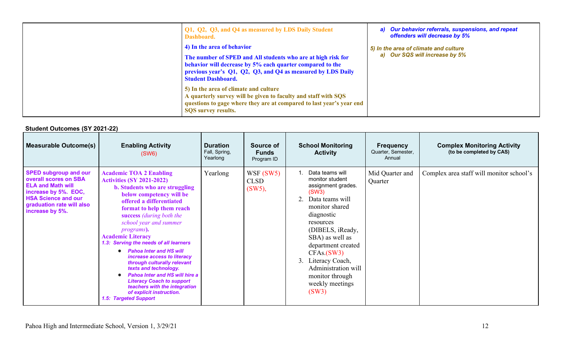| Q1, Q2, Q3, and Q4 as measured by LDS Daily Student<br>Dashboard.                                                                                                                                                                                   | a) Our behavior referrals, suspensions, and repeat<br>offenders will decrease by 5% |
|-----------------------------------------------------------------------------------------------------------------------------------------------------------------------------------------------------------------------------------------------------|-------------------------------------------------------------------------------------|
| 4) In the area of behavior<br>The number of SPED and All students who are at high risk for<br>behavior will decrease by 5% each quarter compared to the<br>previous year's Q1, Q2, Q3, and Q4 as measured by LDS Daily<br><b>Student Dashboard.</b> | 5) In the area of climate and culture<br>a) Our SQS will increase by 5%             |
| 5) In the area of climate and culture<br>A quarterly survey will be given to faculty and staff with SQS<br>questions to gage where they are at compared to last year's year end<br><b>SOS</b> survey results.                                       |                                                                                     |

### **Student Outcomes (SY 2021-22)**

| <b>Measurable Outcome(s)</b>                                                                                                                                                            | <b>Enabling Activity</b><br>(SW6)                                                                                                                                                                                                                                                                                                                                                                                                                                                                                                                                                                                                              | <b>Duration</b><br>Fall, Spring,<br>Yearlong | <b>Source of</b><br><b>Funds</b><br>Program ID | <b>School Monitoring</b><br><b>Activity</b>                                                                                                                                                                                                                                                                       | <b>Frequency</b><br>Quarter, Semester,<br>Annual | <b>Complex Monitoring Activity</b><br>(to be completed by CAS) |
|-----------------------------------------------------------------------------------------------------------------------------------------------------------------------------------------|------------------------------------------------------------------------------------------------------------------------------------------------------------------------------------------------------------------------------------------------------------------------------------------------------------------------------------------------------------------------------------------------------------------------------------------------------------------------------------------------------------------------------------------------------------------------------------------------------------------------------------------------|----------------------------------------------|------------------------------------------------|-------------------------------------------------------------------------------------------------------------------------------------------------------------------------------------------------------------------------------------------------------------------------------------------------------------------|--------------------------------------------------|----------------------------------------------------------------|
| <b>SPED subgroup and our</b><br>overall scores on SBA<br><b>ELA and Math will</b><br>increase by 5%. EOC,<br><b>HSA Science and our</b><br>graduation rate will also<br>increase by 5%. | <b>Academic TOA 2 Enabling</b><br><b>Activities (SY 2021-2022)</b><br>b. Students who are struggling<br>below competency will be<br>offered a differentiated<br>format to help them reach<br>success (during both the<br>school year and summer<br><i>programs</i> ).<br><b>Academic Literacy</b><br>1.3: Serving the needs of all learners<br><b>Pahoa Inter and HS will</b><br>increase access to literacy<br>through culturally relevant<br>texts and technology.<br><b>Pahoa Inter and HS will hire a</b><br><b>Literacy Coach to support</b><br>teachers with the integration<br>of explicit instruction.<br><b>1.5: Targeted Support</b> | Yearlong                                     | WSF(SW5)<br><b>CLSD</b><br>$(SW5)$ ,           | Data teams will<br>monitor student<br>assignment grades.<br>(SW3)<br>Data teams will<br>2.<br>monitor shared<br>diagnostic<br>resources<br>(DIBELS, iReady,<br>SBA) as well as<br>department created<br>CFAs.(SW3)<br>Literacy Coach,<br>3.<br>Administration will<br>monitor through<br>weekly meetings<br>(SW3) | Mid Quarter and<br>Quarter                       | Complex area staff will monitor school's                       |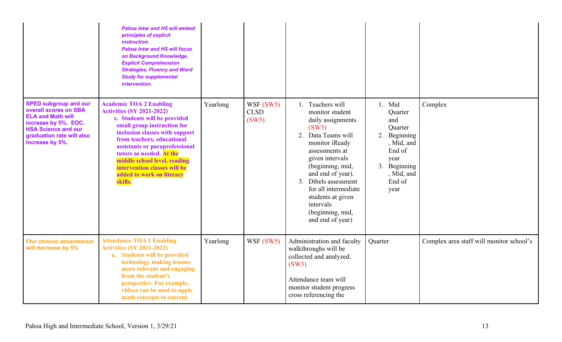|                                                                                                                                                                                         | <b>Pahoa Inter and HS will embed</b><br>principles of explicit<br>instruction.<br><b>Pahoa Inter and HS will focus</b><br>on Background Knowledge,<br><b>Explicit Comprehension</b><br><b>Strategies, Fluency and Word</b><br><b>Study for supplemental</b><br>intervention.                                                                                            |          |                                  |                                                                                                                                                                                                                                                                                                                          |                                                                                                                                        |                                          |
|-----------------------------------------------------------------------------------------------------------------------------------------------------------------------------------------|-------------------------------------------------------------------------------------------------------------------------------------------------------------------------------------------------------------------------------------------------------------------------------------------------------------------------------------------------------------------------|----------|----------------------------------|--------------------------------------------------------------------------------------------------------------------------------------------------------------------------------------------------------------------------------------------------------------------------------------------------------------------------|----------------------------------------------------------------------------------------------------------------------------------------|------------------------------------------|
| <b>SPED subgroup and our</b><br>overall scores on SBA<br><b>ELA and Math will</b><br>increase by 5%. EOC,<br><b>HSA Science and our</b><br>graduation rate will also<br>increase by 5%. | <b>Academic TOA 2 Enabling</b><br><b>Activities (SY 2021-2022)</b><br>c. Students will be provided<br>small group instruction for<br>inclusion classes with support<br>from teachers, educational<br>assistants or paraprofessional<br>tutors as needed. At the<br>middle school level, reading<br>intervention classes will be<br>added to work on literacy<br>skills. | Yearlong | WSF(SW5)<br><b>CLSD</b><br>(SW5) | 1. Teachers will<br>monitor student<br>daily assignments.<br>(SW3)<br>Data Teams will<br>2.<br>monitor iReady<br>assessments at<br>given intervals<br>(beginning, mid,<br>and end of year).<br>Dibels assessment<br>3.<br>for all intermediate<br>students at given<br>intervals<br>(beginning, mid,<br>and end of year) | 1. Mid<br>Quarter<br>and<br>Quarter<br>2.<br>Beginning<br>, Mid, and<br>End of<br>year<br>3. Beginning<br>, Mid, and<br>End of<br>year | Complex                                  |
| Our chronic absenteeism<br>will decrease by 5%                                                                                                                                          | <b>Attendance TOA 1 Enabling</b><br><b>Activities (SY 2021-2022)</b><br>a. Students will be provided<br>technology making lessons<br>more relevant and engaging<br>from the student's<br>perspective. For example,<br>videos can be used to apply<br>math concepts to current                                                                                           | Yearlong | WSF (SW5)                        | Administration and faculty<br>walkthroughs will be<br>collected and analyzed.<br>(SW3)<br>Attendance team will<br>monitor student progress<br>cross referencing the                                                                                                                                                      | Quarter                                                                                                                                | Complex area staff will monitor school's |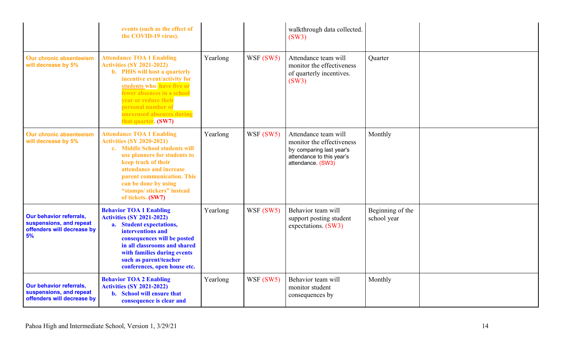|                                                                                               | events (such as the effect of<br>the COVID-19 virus).                                                                                                                                                                                                                                                            |          |           | walkthrough data collected.<br>(SW3)                                                                                            |                                 |  |
|-----------------------------------------------------------------------------------------------|------------------------------------------------------------------------------------------------------------------------------------------------------------------------------------------------------------------------------------------------------------------------------------------------------------------|----------|-----------|---------------------------------------------------------------------------------------------------------------------------------|---------------------------------|--|
| Our chronic absenteeism<br>will decrease by 5%                                                | <b>Attendance TOA 1 Enabling</b><br><b>Activities (SY 2021-2022)</b><br><b>b.</b> PHIS will host a quarterly<br>incentive event/activity for<br>students who have five or<br>fewer absences in a school<br><b>year or reduce their</b><br>personal number of<br>unexcused absences during<br>that quarter. (SW7) | Yearlong | WSF (SW5) | Attendance team will<br>monitor the effectiveness<br>of quarterly incentives.<br>(SW3)                                          | Quarter                         |  |
| Our chronic absenteeism<br>will decrease by 5%                                                | <b>Attendance TOA 1 Enabling</b><br><b>Activities (SY 2020-2021)</b><br>c. Middle School students will<br>use planners for students to<br>keep track of their<br>attendance and increase<br>parent communication. This<br>can be done by using<br>"stamps/stickers" instead<br>of tickets. (SW7)                 | Yearlong | WSF (SW5) | Attendance team will<br>monitor the effectiveness<br>by comparing last year's<br>attendance to this year's<br>attendance. (SW3) | Monthly                         |  |
| <b>Our behavior referrals,</b><br>suspensions, and repeat<br>offenders will decrease by<br>5% | <b>Behavior TOA 1 Enabling</b><br><b>Activities (SY 2021-2022)</b><br>a. Student expectations,<br>interventions and<br>consequences will be posted<br>in all classrooms and shared<br>with families during events<br>such as parent/teacher<br>conferences, open house etc.                                      | Yearlong | WSF (SW5) | Behavior team will<br>support posting student<br>expectations. (SW3)                                                            | Beginning of the<br>school year |  |
| <b>Our behavior referrals,</b><br>suspensions, and repeat<br>offenders will decrease by       | <b>Behavior TOA 2 Enabling</b><br><b>Activities (SY 2021-2022)</b><br><b>b.</b> School will ensure that<br>consequence is clear and                                                                                                                                                                              | Yearlong | WSF(SW5)  | Behavior team will<br>monitor student<br>consequences by                                                                        | Monthly                         |  |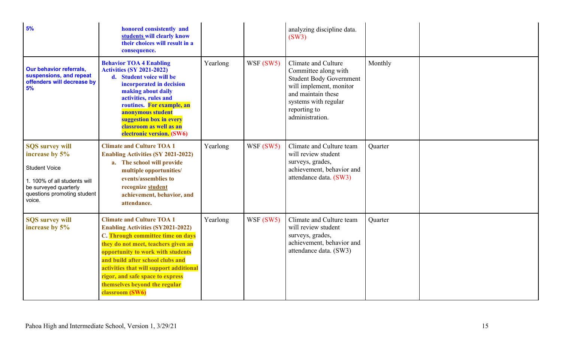| 5%                                                                                                                                                                 | honored consistently and<br>students will clearly know<br>their choices will result in a<br>consequence.                                                                                                                                                                                                                                                             |          |           | analyzing discipline data.<br>(SW3)                                                                                                                                                       |         |  |
|--------------------------------------------------------------------------------------------------------------------------------------------------------------------|----------------------------------------------------------------------------------------------------------------------------------------------------------------------------------------------------------------------------------------------------------------------------------------------------------------------------------------------------------------------|----------|-----------|-------------------------------------------------------------------------------------------------------------------------------------------------------------------------------------------|---------|--|
| <b>Our behavior referrals,</b><br>suspensions, and repeat<br>offenders will decrease by<br>5%                                                                      | <b>Behavior TOA 4 Enabling</b><br><b>Activities (SY 2021-2022)</b><br>d. Student voice will be<br>incorporated in decision<br>making about daily<br>activities, rules and<br>routines. For example, an<br>anonymous student<br>suggestion box in every<br>classroom as well as an<br>electronic version. (SW6)                                                       | Yearlong | WSF (SW5) | Climate and Culture<br>Committee along with<br><b>Student Body Government</b><br>will implement, monitor<br>and maintain these<br>systems with regular<br>reporting to<br>administration. | Monthly |  |
| <b>SQS survey will</b><br>increase by 5%<br><b>Student Voice</b><br>1. 100% of all students will<br>be surveyed quarterly<br>questions promoting student<br>voice. | <b>Climate and Culture TOA 1</b><br><b>Enabling Activities (SY 2021-2022)</b><br>a. The school will provide<br>multiple opportunities/<br>events/assemblies to<br>recognize student<br>achievement, behavior, and<br>attendance.                                                                                                                                     | Yearlong | WSF (SW5) | Climate and Culture team<br>will review student<br>surveys, grades,<br>achievement, behavior and<br>attendance data. (SW3)                                                                | Quarter |  |
| <b>SQS survey will</b><br>increase by 5%                                                                                                                           | <b>Climate and Culture TOA 1</b><br><b>Enabling Activities (SY2021-2022)</b><br>C. Through committee time on days<br>they do not meet, teachers given an<br>opportunity to work with students<br>and build after school clubs and<br>activities that will support additional<br>rigor, and safe space to express<br>themselves beyond the regular<br>classroom (SW6) | Yearlong | WSF (SW5) | Climate and Culture team<br>will review student<br>surveys, grades,<br>achievement, behavior and<br>attendance data. (SW3)                                                                | Quarter |  |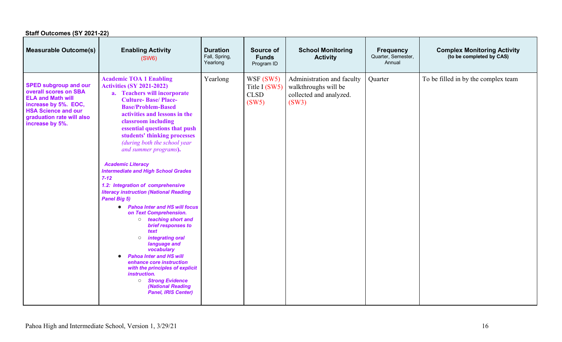| Staff Outcomes (SY 2021-22)                                                                                                                                                             |                                                                                                                                                                                                                                                                                                                                                                                                                                                                                                                                                                                                                                                                                                                                                                                                                                                                                                                                                          |                                              |                                                    |                                                                                        |                                                  |                                                                |  |  |
|-----------------------------------------------------------------------------------------------------------------------------------------------------------------------------------------|----------------------------------------------------------------------------------------------------------------------------------------------------------------------------------------------------------------------------------------------------------------------------------------------------------------------------------------------------------------------------------------------------------------------------------------------------------------------------------------------------------------------------------------------------------------------------------------------------------------------------------------------------------------------------------------------------------------------------------------------------------------------------------------------------------------------------------------------------------------------------------------------------------------------------------------------------------|----------------------------------------------|----------------------------------------------------|----------------------------------------------------------------------------------------|--------------------------------------------------|----------------------------------------------------------------|--|--|
| <b>Measurable Outcome(s)</b>                                                                                                                                                            | <b>Enabling Activity</b><br>(SW6)                                                                                                                                                                                                                                                                                                                                                                                                                                                                                                                                                                                                                                                                                                                                                                                                                                                                                                                        | <b>Duration</b><br>Fall, Spring,<br>Yearlong | Source of<br><b>Funds</b><br>Program ID            | <b>School Monitoring</b><br><b>Activity</b>                                            | <b>Frequency</b><br>Quarter, Semester,<br>Annual | <b>Complex Monitoring Activity</b><br>(to be completed by CAS) |  |  |
| <b>SPED subgroup and our</b><br>overall scores on SBA<br><b>ELA and Math will</b><br>increase by 5%. EOC,<br><b>HSA Science and our</b><br>graduation rate will also<br>increase by 5%. | <b>Academic TOA 1 Enabling</b><br><b>Activities (SY 2021-2022)</b><br>a. Teachers will incorporate<br><b>Culture-Base/Place-</b><br><b>Base/Problem-Based</b><br>activities and lessons in the<br>classroom including<br>essential questions that push<br>students' thinking processes<br>(during both the school year<br>and summer programs).<br><b>Academic Literacy</b><br><b>Intermediate and High School Grades</b><br>$7 - 12$<br>1.2: Integration of comprehensive<br><b>literacy instruction (National Reading</b><br><b>Panel Big 5)</b><br><b>Pahoa Inter and HS will focus</b><br>$\bullet$<br>on Text Comprehension.<br>o teaching short and<br>brief responses to<br>text<br>integrating oral<br>$\circ$<br>language and<br>vocabulary<br><b>Pahoa Inter and HS will</b><br>$\bullet$<br>enhance core instruction<br>with the principles of explicit<br>instruction.<br><b>Strong Evidence</b><br>(National Reading<br>Panel, IRIS Center) | Yearlong                                     | WSF (SW5)<br>Title I (SW5)<br><b>CLSD</b><br>(SW5) | Administration and faculty<br>walkthroughs will be<br>collected and analyzed.<br>(SW3) | Quarter                                          | To be filled in by the complex team                            |  |  |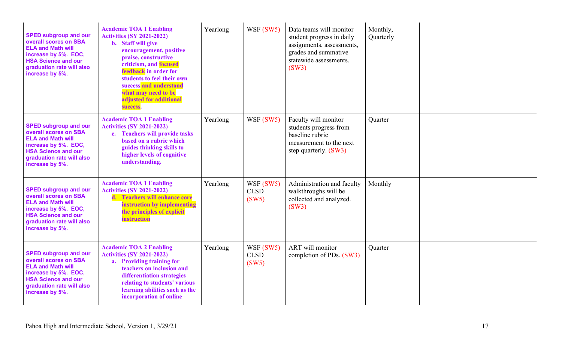| <b>SPED subgroup and our</b><br>overall scores on SBA<br><b>ELA and Math will</b><br>increase by 5%. EOC,<br><b>HSA Science and our</b><br>graduation rate will also<br>increase by 5%. | <b>Academic TOA 1 Enabling</b><br><b>Activities (SY 2021-2022)</b><br>b. Staff will give<br>encouragement, positive<br>praise, constructive<br>criticism, and focused<br>feedback in order for<br>students to feel their own<br>success and understand<br>what may need to be<br>adjusted for additional<br>success. | Yearlong | WSF (SW5)                         | Data teams will monitor<br>student progress in daily<br>assignments, assessments,<br>grades and summative<br>statewide assessments.<br>(SW3) | Monthly,<br>Quarterly |  |
|-----------------------------------------------------------------------------------------------------------------------------------------------------------------------------------------|----------------------------------------------------------------------------------------------------------------------------------------------------------------------------------------------------------------------------------------------------------------------------------------------------------------------|----------|-----------------------------------|----------------------------------------------------------------------------------------------------------------------------------------------|-----------------------|--|
| <b>SPED subgroup and our</b><br>overall scores on SBA<br><b>ELA and Math will</b><br>increase by 5%. EOC,<br><b>HSA Science and our</b><br>graduation rate will also<br>increase by 5%. | <b>Academic TOA 1 Enabling</b><br><b>Activities (SY 2021-2022)</b><br>c. Teachers will provide tasks<br>based on a rubric which<br>guides thinking skills to<br>higher levels of cognitive<br>understanding.                                                                                                         | Yearlong | WSF (SW5)                         | Faculty will monitor<br>students progress from<br>baseline rubric<br>measurement to the next<br>step quarterly. (SW3)                        | Quarter               |  |
| <b>SPED subgroup and our</b><br>overall scores on SBA<br><b>ELA and Math will</b><br>increase by 5%. EOC,<br><b>HSA Science and our</b><br>graduation rate will also<br>increase by 5%. | <b>Academic TOA 1 Enabling</b><br><b>Activities (SY 2021-2022)</b><br>d. Teachers will enhance core<br>instruction by implementing<br>the principles of explicit<br><b>instruction</b>                                                                                                                               | Yearlong | WSF(SW5)<br><b>CLSD</b><br>(SW5)  | Administration and faculty<br>walkthroughs will be<br>collected and analyzed.<br>(SW3)                                                       | Monthly               |  |
| <b>SPED subgroup and our</b><br>overall scores on SBA<br><b>ELA and Math will</b><br>increase by 5%. EOC,<br><b>HSA Science and our</b><br>graduation rate will also<br>increase by 5%. | <b>Academic TOA 2 Enabling</b><br><b>Activities (SY 2021-2022)</b><br>a. Providing training for<br>teachers on inclusion and<br>differentiation strategies<br>relating to students' various<br>learning abilities such as the<br>incorporation of online                                                             | Yearlong | WSF (SW5)<br><b>CLSD</b><br>(SW5) | <b>ART</b> will monitor<br>completion of PDs. (SW3)                                                                                          | Ouarter               |  |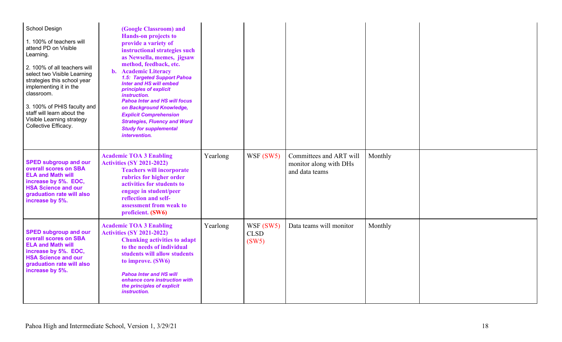| School Design<br>1. 100% of teachers will<br>attend PD on Visible<br>Learning.<br>2. 100% of all teachers will<br>select two Visible Learning<br>strategies this school year<br>implementing it in the<br>classroom.<br>3. 100% of PHIS faculty and<br>staff will learn about the<br>Visible Learning strategy<br>Collective Efficacy. | (Google Classroom) and<br><b>Hands-on projects to</b><br>provide a variety of<br>instructional strategies such<br>as Newsella, memes, jigsaw<br>method, feedback, etc.<br><b>Academic Literacy</b><br>$\mathbf{b}$ .<br>1.5: Targeted Support Pahoa<br>Inter and HS will embed<br>principles of explicit<br><i>instruction.</i><br><b>Pahoa Inter and HS will focus</b><br>on Background Knowledge,<br><b>Explicit Comprehension</b><br><b>Strategies, Fluency and Word</b><br><b>Study for supplemental</b><br>intervention. |          |                                   |                                                                     |         |  |
|----------------------------------------------------------------------------------------------------------------------------------------------------------------------------------------------------------------------------------------------------------------------------------------------------------------------------------------|-------------------------------------------------------------------------------------------------------------------------------------------------------------------------------------------------------------------------------------------------------------------------------------------------------------------------------------------------------------------------------------------------------------------------------------------------------------------------------------------------------------------------------|----------|-----------------------------------|---------------------------------------------------------------------|---------|--|
| <b>SPED subgroup and our</b><br>overall scores on SBA<br><b>ELA and Math will</b><br>increase by 5%. EOC,<br><b>HSA Science and our</b><br>graduation rate will also<br>increase by 5%.                                                                                                                                                | <b>Academic TOA 3 Enabling</b><br><b>Activities (SY 2021-2022)</b><br><b>Teachers will incorporate</b><br>rubrics for higher order<br>activities for students to<br>engage in student/peer<br>reflection and self-<br>assessment from weak to<br>proficient. (SW6)                                                                                                                                                                                                                                                            | Yearlong | WSF(SW5)                          | Committees and ART will<br>monitor along with DHs<br>and data teams | Monthly |  |
| <b>SPED subgroup and our</b><br>overall scores on SBA<br><b>ELA and Math will</b><br>increase by 5%. EOC,<br><b>HSA Science and our</b><br>graduation rate will also<br>increase by 5%.                                                                                                                                                | <b>Academic TOA 3 Enabling</b><br><b>Activities (SY 2021-2022)</b><br><b>Chunking activities to adapt</b><br>to the needs of individual<br>students will allow students<br>to improve. (SW6)<br><b>Pahoa Inter and HS will</b><br>enhance core instruction with<br>the principles of explicit<br>instruction.                                                                                                                                                                                                                 | Yearlong | WSF (SW5)<br><b>CLSD</b><br>(SW5) | Data teams will monitor                                             | Monthly |  |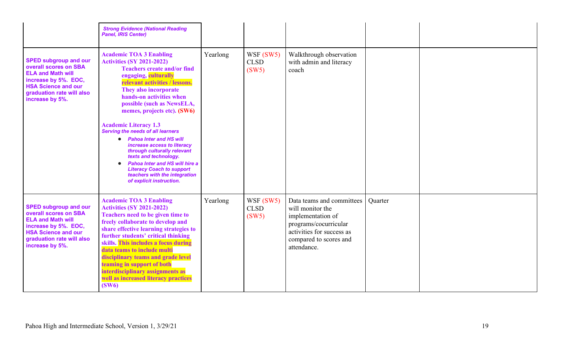|                                                                                                                                                                                         | <b>Strong Evidence (National Reading</b><br><b>Panel, IRIS Center)</b>                                                                                                                                                                                                                                                                                                                                                                                                                                                                                                                                                                           |          |                                   |                                                                                                                                                                   |         |  |
|-----------------------------------------------------------------------------------------------------------------------------------------------------------------------------------------|--------------------------------------------------------------------------------------------------------------------------------------------------------------------------------------------------------------------------------------------------------------------------------------------------------------------------------------------------------------------------------------------------------------------------------------------------------------------------------------------------------------------------------------------------------------------------------------------------------------------------------------------------|----------|-----------------------------------|-------------------------------------------------------------------------------------------------------------------------------------------------------------------|---------|--|
| <b>SPED subgroup and our</b><br>overall scores on SBA<br><b>ELA and Math will</b><br>increase by 5%. EOC,<br><b>HSA Science and our</b><br>graduation rate will also<br>increase by 5%. | <b>Academic TOA 3 Enabling</b><br><b>Activities (SY 2021-2022)</b><br><b>Teachers create and/or find</b><br>engaging, culturally<br>relevant activities / lessons.<br>They also incorporate<br>hands-on activities when<br>possible (such as NewsELA,<br>memes, projects etc). (SW6)<br><b>Academic Literacy 1.3</b><br><b>Serving the needs of all learners</b><br><b>Pahoa Inter and HS will</b><br>$\bullet$<br>increase access to literacy<br>through culturally relevant<br>texts and technology.<br><b>Pahoa Inter and HS will hire a</b><br><b>Literacy Coach to support</b><br>teachers with the integration<br>of explicit instruction. | Yearlong | WSF (SW5)<br><b>CLSD</b><br>(SW5) | Walkthrough observation<br>with admin and literacy<br>coach                                                                                                       |         |  |
| <b>SPED subgroup and our</b><br>overall scores on SBA<br><b>ELA and Math will</b><br>increase by 5%. EOC,<br><b>HSA Science and our</b><br>graduation rate will also<br>increase by 5%. | <b>Academic TOA 3 Enabling</b><br><b>Activities (SY 2021-2022)</b><br>Teachers need to be given time to<br>freely collaborate to develop and<br>share effective learning strategies to<br>further students' critical thinking<br>skills. This includes a focus during<br>data teams to include multi<br>disciplinary teams and grade level<br>teaming in support of both<br>interdisciplinary assignments as<br>well as increased literacy practices<br>(SW6)                                                                                                                                                                                    | Yearlong | WSF (SW5)<br><b>CLSD</b><br>(SW5) | Data teams and committees<br>will monitor the<br>implementation of<br>programs/cocurricular<br>activities for success as<br>compared to scores and<br>attendance. | Quarter |  |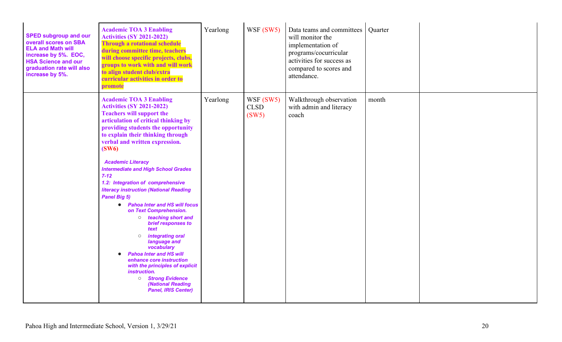| <b>SPED subgroup and our</b><br>overall scores on SBA<br><b>ELA and Math will</b><br>increase by 5%. EOC,<br><b>HSA Science and our</b><br>graduation rate will also<br>increase by 5%. | <b>Academic TOA 3 Enabling</b><br><b>Activities (SY 2021-2022)</b><br><b>Through a rotational schedule</b><br>during committee time, teachers<br>will choose specific projects, clubs,<br>groups to work with and will work<br>to align student club/extra<br>curricular activities in order to<br>promote                                                                                                                                                                                                                                                                                                                                                                                                                                                                                                                                                                         | Yearlong | WSF (SW5)                        | Data teams and committees<br>will monitor the<br>implementation of<br>programs/cocurricular<br>activities for success as<br>compared to scores and<br>attendance. | Quarter |  |
|-----------------------------------------------------------------------------------------------------------------------------------------------------------------------------------------|------------------------------------------------------------------------------------------------------------------------------------------------------------------------------------------------------------------------------------------------------------------------------------------------------------------------------------------------------------------------------------------------------------------------------------------------------------------------------------------------------------------------------------------------------------------------------------------------------------------------------------------------------------------------------------------------------------------------------------------------------------------------------------------------------------------------------------------------------------------------------------|----------|----------------------------------|-------------------------------------------------------------------------------------------------------------------------------------------------------------------|---------|--|
|                                                                                                                                                                                         | <b>Academic TOA 3 Enabling</b><br><b>Activities (SY 2021-2022)</b><br><b>Teachers will support the</b><br>articulation of critical thinking by<br>providing students the opportunity<br>to explain their thinking through<br>verbal and written expression.<br>(SW6)<br><b>Academic Literacy</b><br><b>Intermediate and High School Grades</b><br>$7 - 12$<br>1.2: Integration of comprehensive<br><b>literacy instruction (National Reading</b><br><b>Panel Big 5)</b><br><b>Pahoa Inter and HS will focus</b><br>$\bullet$<br>on Text Comprehension.<br>o teaching short and<br>brief responses to<br>text<br>integrating oral<br>$\circ$<br>language and<br>vocabulary<br><b>Pahoa Inter and HS will</b><br>enhance core instruction<br>with the principles of explicit<br>instruction.<br><b>Strong Evidence</b><br>$\circ$<br>(National Reading<br><b>Panel, IRIS Center)</b> | Yearlong | WSF(SW5)<br><b>CLSD</b><br>(SW5) | Walkthrough observation<br>with admin and literacy<br>coach                                                                                                       | month   |  |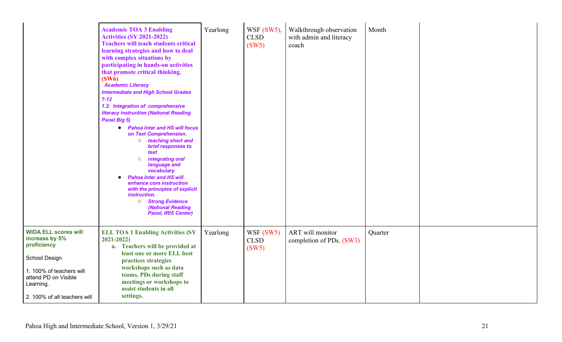|                                                                                                                                                                                | <b>Academic TOA 3 Enabling</b><br><b>Activities (SY 2021-2022)</b><br><b>Teachers will teach students critical</b><br>learning strategies and how to deal<br>with complex situations by<br>participating in hands-on activities<br>that promote critical thinking.<br>(SW6)<br><b>Academic Literacy</b><br><b>Intermediate and High School Grades</b><br>$7 - 12$<br>1.2: Integration of comprehensive<br><b>literacy instruction (National Reading</b><br><b>Panel Big 5)</b><br><b>Pahoa Inter and HS will focus</b><br>$\bullet$<br>on Text Comprehension.<br>o teaching short and<br>brief responses to<br>text<br>integrating oral<br>$\circ$<br>language and<br>vocabulary<br><b>Pahoa Inter and HS will</b><br>enhance core instruction<br>with the principles of explicit<br>instruction.<br><b>Strong Evidence</b><br>(National Reading<br>Panel, IRIS Center) | Yearlong | WSF $(SW5)$ ,<br><b>CLSD</b><br>(SW5) | Walkthrough observation<br>with admin and literacy<br>coach | Month   |  |
|--------------------------------------------------------------------------------------------------------------------------------------------------------------------------------|-------------------------------------------------------------------------------------------------------------------------------------------------------------------------------------------------------------------------------------------------------------------------------------------------------------------------------------------------------------------------------------------------------------------------------------------------------------------------------------------------------------------------------------------------------------------------------------------------------------------------------------------------------------------------------------------------------------------------------------------------------------------------------------------------------------------------------------------------------------------------|----------|---------------------------------------|-------------------------------------------------------------|---------|--|
| <b>WIDA ELL scores will</b><br>increase by 5%<br>proficiency<br>School Design<br>1. 100% of teachers will<br>attend PD on Visible<br>Learning.<br>2. 100% of all teachers will | <b>ELL TOA 1 Enabling Activities (SY</b><br>$2021 - 2022$<br>a. Teachers will be provided at<br>least one or more ELL best<br>practices strategies<br>workshops such as data<br>teams, PDs during staff<br>meetings or workshops to<br>assist students in all<br>settings.                                                                                                                                                                                                                                                                                                                                                                                                                                                                                                                                                                                              | Yearlong | WSF(SW5)<br><b>CLSD</b><br>(SW5)      | ART will monitor<br>completion of PDs. (SW3)                | Quarter |  |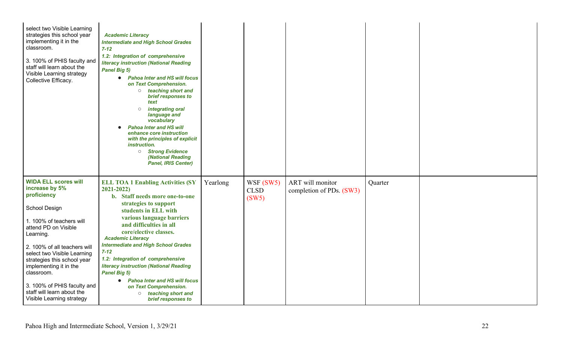| select two Visible Learning<br>strategies this school year<br>implementing it in the<br>classroom.<br>3. 100% of PHIS faculty and<br>staff will learn about the<br>Visible Learning strategy<br>Collective Efficacy.                                                                                                                                                           | <b>Academic Literacy</b><br><b>Intermediate and High School Grades</b><br>$7 - 12$<br>1.2: Integration of comprehensive<br><b>literacy instruction (National Reading</b><br><b>Panel Big 5)</b><br>• Pahoa Inter and HS will focus<br>on Text Comprehension.<br>o teaching short and<br>brief responses to<br>text<br>integrating oral<br>$\bigcirc$<br>language and<br>vocabulary<br><b>Pahoa Inter and HS will</b><br>enhance core instruction<br>with the principles of explicit<br>instruction.<br><b>Strong Evidence</b><br>(National Reading<br><b>Panel, IRIS Center)</b> |          |                                  |                                              |         |  |
|--------------------------------------------------------------------------------------------------------------------------------------------------------------------------------------------------------------------------------------------------------------------------------------------------------------------------------------------------------------------------------|----------------------------------------------------------------------------------------------------------------------------------------------------------------------------------------------------------------------------------------------------------------------------------------------------------------------------------------------------------------------------------------------------------------------------------------------------------------------------------------------------------------------------------------------------------------------------------|----------|----------------------------------|----------------------------------------------|---------|--|
| <b>WIDA ELL scores will</b><br>increase by 5%<br>proficiency<br>School Design<br>1. 100% of teachers will<br>attend PD on Visible<br>Learning.<br>2. 100% of all teachers will<br>select two Visible Learning<br>strategies this school year<br>implementing it in the<br>classroom.<br>3. 100% of PHIS faculty and<br>staff will learn about the<br>Visible Learning strategy | <b>ELL TOA 1 Enabling Activities (SY</b><br>$2021 - 2022$<br>b. Staff needs more one-to-one<br>strategies to support<br>students in ELL with<br>various language barriers<br>and difficulties in all<br>core/elective classes.<br><b>Academic Literacy</b><br><b>Intermediate and High School Grades</b><br>$7 - 12$<br>1.2: Integration of comprehensive<br><b>literacy instruction (National Reading</b><br><b>Panel Big 5)</b><br><b>Pahoa Inter and HS will focus</b><br>$\bullet$<br>on Text Comprehension.<br>teaching short and<br>$\circ$<br>brief responses to          | Yearlong | WSF(SW5)<br><b>CLSD</b><br>(SW5) | ART will monitor<br>completion of PDs. (SW3) | Quarter |  |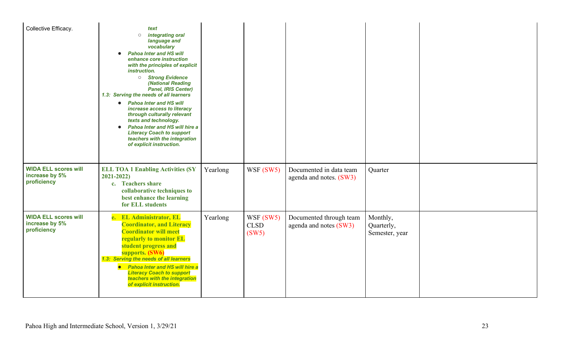| Collective Efficacy.                                         | text<br>integrating oral<br>$\circ$<br>language and<br>vocabulary<br><b>Pahoa Inter and HS will</b><br>enhance core instruction<br>with the principles of explicit<br>instruction.<br><b>Strong Evidence</b><br>(National Reading<br>Panel, IRIS Center)<br>1.3: Serving the needs of all learners<br><b>Pahoa Inter and HS will</b><br>$\bullet$<br>increase access to literacy<br>through culturally relevant<br>texts and technology.<br><b>Pahoa Inter and HS will hire a</b><br>$\bullet$<br><b>Literacy Coach to support</b><br>teachers with the integration<br>of explicit instruction. |          |                                  |                                                    |                                          |  |
|--------------------------------------------------------------|-------------------------------------------------------------------------------------------------------------------------------------------------------------------------------------------------------------------------------------------------------------------------------------------------------------------------------------------------------------------------------------------------------------------------------------------------------------------------------------------------------------------------------------------------------------------------------------------------|----------|----------------------------------|----------------------------------------------------|------------------------------------------|--|
| <b>WIDA ELL scores will</b><br>increase by 5%<br>proficiency | <b>ELL TOA 1 Enabling Activities (SY</b><br>$2021 - 2022$<br>c. Teachers share<br>collaborative techniques to<br>best enhance the learning<br>for ELL students                                                                                                                                                                                                                                                                                                                                                                                                                                  | Yearlong | WSF $(SW5)$                      | Documented in data team<br>agenda and notes. (SW3) | Quarter                                  |  |
| <b>WIDA ELL scores will</b><br>increase by 5%<br>proficiency | e. EL Administrator, EL<br><b>Coordinator, and Literacy</b><br><b>Coordinator will meet</b><br>regularly to monitor EL<br>student progress and<br>supports. (SW6)<br>1.3: Serving the needs of all learners<br>• Pahoa Inter and HS will hire a<br><b>Literacy Coach to support</b><br>teachers with the integration<br>of explicit instruction.                                                                                                                                                                                                                                                | Yearlong | WSF(SW5)<br><b>CLSD</b><br>(SW5) | Documented through team<br>agenda and notes (SW3)  | Monthly,<br>Quarterly,<br>Semester, year |  |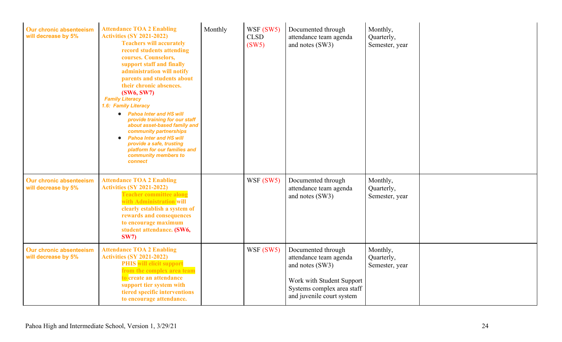| Our chronic absenteeism<br>will decrease by 5% | <b>Attendance TOA 2 Enabling</b><br><b>Activities (SY 2021-2022)</b><br><b>Teachers will accurately</b><br>record students attending<br>courses. Counselors,<br>support staff and finally<br>administration will notify<br>parents and students about<br>their chronic absences.<br>(SW6, SW7)<br><b>Family Literacy</b><br>1.6: Family Literacy<br><b>Pahoa Inter and HS will</b><br>$\bullet$<br>provide training for our staff<br>about asset-based family and<br>community partnerships<br><b>Pahoa Inter and HS will</b><br>provide a safe, trusting<br>platform for our families and<br>community members to<br>connect | Monthly | WSF(SW5)<br><b>CLSD</b><br>(SW5) | Documented through<br>attendance team agenda<br>and notes (SW3)                                                                                         | Monthly,<br>Quarterly,<br>Semester, year |  |
|------------------------------------------------|-------------------------------------------------------------------------------------------------------------------------------------------------------------------------------------------------------------------------------------------------------------------------------------------------------------------------------------------------------------------------------------------------------------------------------------------------------------------------------------------------------------------------------------------------------------------------------------------------------------------------------|---------|----------------------------------|---------------------------------------------------------------------------------------------------------------------------------------------------------|------------------------------------------|--|
| Our chronic absenteeism<br>will decrease by 5% | <b>Attendance TOA 2 Enabling</b><br><b>Activities (SY 2021-2022)</b><br><b>Teacher committee along</b><br>with Administration will<br>clearly establish a system of<br>rewards and consequences<br>to encourage maximum<br>student attendance. (SW6,<br><b>SW7</b> )                                                                                                                                                                                                                                                                                                                                                          |         | WSF (SW5)                        | Documented through<br>attendance team agenda<br>and notes (SW3)                                                                                         | Monthly,<br>Quarterly,<br>Semester, year |  |
| Our chronic absenteeism<br>will decrease by 5% | <b>Attendance TOA 2 Enabling</b><br><b>Activities (SY 2021-2022)</b><br><b>PHIS</b> will elicit support<br>from the complex area team<br>to create an attendance<br>support tier system with<br>tiered specific interventions<br>to encourage attendance.                                                                                                                                                                                                                                                                                                                                                                     |         | WSF(SW5)                         | Documented through<br>attendance team agenda<br>and notes (SW3)<br>Work with Student Support<br>Systems complex area staff<br>and juvenile court system | Monthly,<br>Quarterly,<br>Semester, year |  |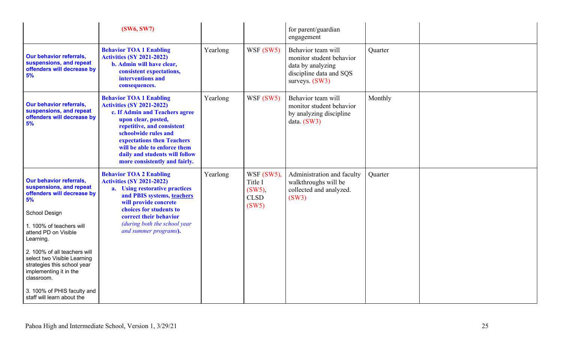|                                                                                                                                                                                                                                                                                                                                                                                    | <b>(SW6, SW7)</b>                                                                                                                                                                                                                                                                                                  |          |                                                            | for parent/guardian<br>engagement                                                                                  |         |  |
|------------------------------------------------------------------------------------------------------------------------------------------------------------------------------------------------------------------------------------------------------------------------------------------------------------------------------------------------------------------------------------|--------------------------------------------------------------------------------------------------------------------------------------------------------------------------------------------------------------------------------------------------------------------------------------------------------------------|----------|------------------------------------------------------------|--------------------------------------------------------------------------------------------------------------------|---------|--|
| <b>Our behavior referrals,</b><br>suspensions, and repeat<br>offenders will decrease by<br>5%                                                                                                                                                                                                                                                                                      | <b>Behavior TOA 1 Enabling</b><br><b>Activities (SY 2021-2022)</b><br>b. Admin will have clear,<br>consistent expectations,<br>interventions and<br>consequences.                                                                                                                                                  | Yearlong | WSF (SW5)                                                  | Behavior team will<br>monitor student behavior<br>data by analyzing<br>discipline data and SQS<br>surveys. $(SW3)$ | Quarter |  |
| <b>Our behavior referrals,</b><br>suspensions, and repeat<br>offenders will decrease by<br>5%                                                                                                                                                                                                                                                                                      | <b>Behavior TOA 1 Enabling</b><br><b>Activities (SY 2021-2022)</b><br>c. If Admin and Teachers agree<br>upon clear, posted,<br>repetitive, and consistent<br>schoolwide rules and<br>expectations then Teachers<br>will be able to enforce them<br>daily and students will follow<br>more consistently and fairly. | Yearlong | WSF (SW5)                                                  | Behavior team will<br>monitor student behavior<br>by analyzing discipline<br>data. $(SW3)$                         | Monthly |  |
| <b>Our behavior referrals,</b><br>suspensions, and repeat<br>offenders will decrease by<br>5%<br>School Design<br>1. 100% of teachers will<br>attend PD on Visible<br>Learning.<br>2. 100% of all teachers will<br>select two Visible Learning<br>strategies this school year<br>implementing it in the<br>classroom.<br>3. 100% of PHIS faculty and<br>staff will learn about the | <b>Behavior TOA 2 Enabling</b><br><b>Activities (SY 2021-2022)</b><br>a. Using restorative practices<br>and PBIS systems, teachers<br>will provide concrete<br>choices for students to<br>correct their behavior<br>(during both the school year<br>and summer programs).                                          | Yearlong | WSF (SW5),<br>Title I<br>$(SW5)$ .<br><b>CLSD</b><br>(SW5) | Administration and faculty<br>walkthroughs will be<br>collected and analyzed.<br>(SW3)                             | Quarter |  |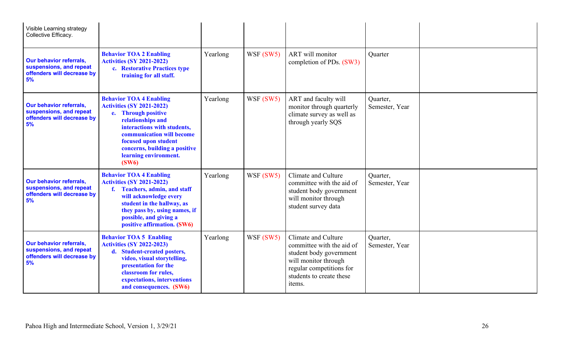| Visible Learning strategy<br>Collective Efficacy.                                             |                                                                                                                                                                                                                                                                       |          |           |                                                                                                                                                                       |                            |  |
|-----------------------------------------------------------------------------------------------|-----------------------------------------------------------------------------------------------------------------------------------------------------------------------------------------------------------------------------------------------------------------------|----------|-----------|-----------------------------------------------------------------------------------------------------------------------------------------------------------------------|----------------------------|--|
| <b>Our behavior referrals,</b><br>suspensions, and repeat<br>offenders will decrease by<br>5% | <b>Behavior TOA 2 Enabling</b><br><b>Activities (SY 2021-2022)</b><br>c. Restorative Practices type<br>training for all staff.                                                                                                                                        | Yearlong | WSF(SW5)  | <b>ART</b> will monitor<br>completion of PDs. (SW3)                                                                                                                   | Quarter                    |  |
| <b>Our behavior referrals,</b><br>suspensions, and repeat<br>offenders will decrease by<br>5% | <b>Behavior TOA 4 Enabling</b><br><b>Activities (SY 2021-2022)</b><br>e. Through positive<br>relationships and<br>interactions with students,<br>communication will become<br>focused upon student<br>concerns, building a positive<br>learning environment.<br>(SW6) | Yearlong | WSF (SW5) | ART and faculty will<br>monitor through quarterly<br>climate survey as well as<br>through yearly SQS                                                                  | Quarter,<br>Semester, Year |  |
| <b>Our behavior referrals,</b><br>suspensions, and repeat<br>offenders will decrease by<br>5% | <b>Behavior TOA 4 Enabling</b><br><b>Activities (SY 2021-2022)</b><br>f. Teachers, admin, and staff<br>will acknowledge every<br>student in the hallway, as<br>they pass by, using names, if<br>possible, and giving a<br>positive affirmation. (SW6)                 | Yearlong | WSF(SW5)  | Climate and Culture<br>committee with the aid of<br>student body government<br>will monitor through<br>student survey data                                            | Quarter,<br>Semester, Year |  |
| <b>Our behavior referrals,</b><br>suspensions, and repeat<br>offenders will decrease by<br>5% | <b>Behavior TOA 5 Enabling</b><br><b>Activities (SY 2022-2023)</b><br>d. Student-created posters,<br>video, visual storytelling,<br>presentation for the<br>classroom for rules,<br>expectations, interventions<br>and consequences. (SW6)                            | Yearlong | WSF (SW5) | Climate and Culture<br>committee with the aid of<br>student body government<br>will monitor through<br>regular competitions for<br>students to create these<br>items. | Quarter,<br>Semester, Year |  |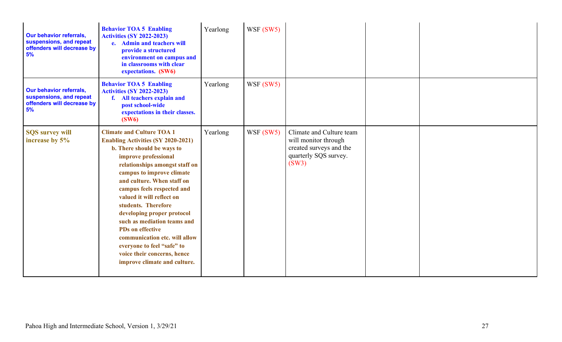| <b>Our behavior referrals,</b><br>suspensions, and repeat<br>offenders will decrease by<br>5% | <b>Behavior TOA 5 Enabling</b><br><b>Activities (SY 2022-2023)</b><br>e. Admin and teachers will<br>provide a structured<br>environment on campus and<br>in classrooms with clear<br>expectations. (SW6)                                                                                                                                                                                                                                                                                                                                 | Yearlong | WSF(SW5)  |                                                                                                               |  |
|-----------------------------------------------------------------------------------------------|------------------------------------------------------------------------------------------------------------------------------------------------------------------------------------------------------------------------------------------------------------------------------------------------------------------------------------------------------------------------------------------------------------------------------------------------------------------------------------------------------------------------------------------|----------|-----------|---------------------------------------------------------------------------------------------------------------|--|
| <b>Our behavior referrals,</b><br>suspensions, and repeat<br>offenders will decrease by<br>5% | <b>Behavior TOA 5 Enabling</b><br><b>Activities (SY 2022-2023)</b><br><b>All teachers explain and</b><br>f.<br>post school-wide<br>expectations in their classes.<br>(SW6)                                                                                                                                                                                                                                                                                                                                                               | Yearlong | WSF (SW5) |                                                                                                               |  |
| <b>SQS</b> survey will<br>increase by 5%                                                      | <b>Climate and Culture TOA 1</b><br><b>Enabling Activities (SY 2020-2021)</b><br>b. There should be ways to<br>improve professional<br>relationships amongst staff on<br>campus to improve climate<br>and culture. When staff on<br>campus feels respected and<br>valued it will reflect on<br>students. Therefore<br>developing proper protocol<br>such as mediation teams and<br><b>PDs</b> on effective<br>communication etc. will allow<br>everyone to feel "safe" to<br>voice their concerns, hence<br>improve climate and culture. | Yearlong | WSF (SW5) | Climate and Culture team<br>will monitor through<br>created surveys and the<br>quarterly SQS survey.<br>(SW3) |  |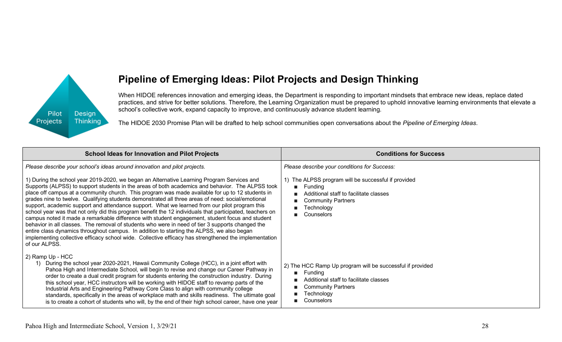

## **Pipeline of Emerging Ideas: Pilot Projects and Design Thinking**

When HIDOE references innovation and emerging ideas, the Department is responding to important mindsets that embrace new ideas, replace dated practices, and strive for better solutions. Therefore, the Learning Organization must be prepared to uphold innovative learning environments that elevate a school's collective work, expand capacity to improve, and continuously advance student learning.

The HIDOE 2030 Promise Plan will be drafted to help school communities open conversations about the *Pipeline of Emerging Ideas*.

| <b>School Ideas for Innovation and Pilot Projects</b>                                                                                                                                                                                                                                                                                                                                                                                                                                                                                                                                                                                                                                                                                                                                                                                            | <b>Conditions for Success</b>                                                                                                                                                           |
|--------------------------------------------------------------------------------------------------------------------------------------------------------------------------------------------------------------------------------------------------------------------------------------------------------------------------------------------------------------------------------------------------------------------------------------------------------------------------------------------------------------------------------------------------------------------------------------------------------------------------------------------------------------------------------------------------------------------------------------------------------------------------------------------------------------------------------------------------|-----------------------------------------------------------------------------------------------------------------------------------------------------------------------------------------|
| Please describe your school's ideas around innovation and pilot projects.<br>1) During the school year 2019-2020, we began an Alternative Learning Program Services and<br>Supports (ALPSS) to support students in the areas of both academics and behavior. The ALPSS took                                                                                                                                                                                                                                                                                                                                                                                                                                                                                                                                                                      | Please describe your conditions for Success:<br>1) The ALPSS program will be successful if provided<br>Fundina<br>п                                                                     |
| place off campus at a community church. This program was made available for up to 12 students in<br>grades nine to twelve. Qualifying students demonstrated all three areas of need: social/emotional<br>support, academic support and attendance support. What we learned from our pilot program this<br>school year was that not only did this program benefit the 12 individuals that participated, teachers on<br>campus noted it made a remarkable difference with student engagement, student focus and student<br>behavior in all classes. The removal of students who were in need of tier 3 supports changed the<br>entire class dynamics throughout campus. In addition to starting the ALPSS, we also began<br>implementing collective efficacy school wide. Collective efficacy has strengthened the implementation<br>of our ALPSS. | Additional staff to facilitate classes<br><b>Community Partners</b><br>Technology<br>Counselors                                                                                         |
| 2) Ramp Up - HCC<br>During the school year 2020-2021, Hawaii Community College (HCC), in a joint effort with<br>1)<br>Pahoa High and Intermediate School, will begin to revise and change our Career Pathway in<br>order to create a dual credit program for students entering the construction industry. During<br>this school year, HCC instructors will be working with HIDOE staff to revamp parts of the<br>Industrial Arts and Engineering Pathway Core Class to align with community college<br>standards, specifically in the areas of workplace math and skills readiness. The ultimate goal<br>is to create a cohort of students who will, by the end of their high school career, have one year                                                                                                                                       | 2) The HCC Ramp Up program will be successful if provided<br>Funding<br>$\mathbf{r}$<br>Additional staff to facilitate classes<br><b>Community Partners</b><br>Technology<br>Counselors |